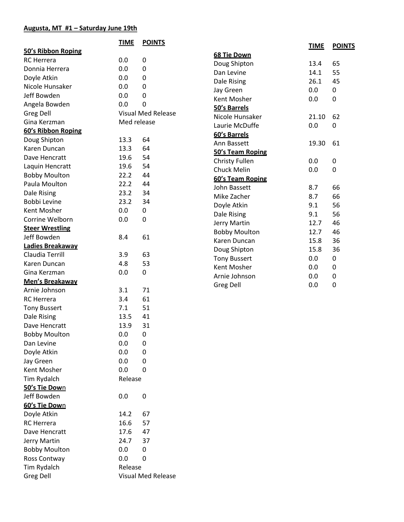## **Augusta, MT #1 – Saturday June 19th**

|                        | <b>TIME</b> | <b>POINTS</b>             |                                      | <b>TIME</b> | <b>POINTS</b> |
|------------------------|-------------|---------------------------|--------------------------------------|-------------|---------------|
| 50's Ribbon Roping     |             |                           | 68 Tie Down                          |             |               |
| <b>RC</b> Herrera      | 0.0         | 0                         | Doug Shipton                         | 13.4        | 65            |
| Donnia Herrera         | 0.0         | 0                         | Dan Levine                           | 14.1        | 55            |
| Doyle Atkin            | 0.0         | 0                         | Dale Rising                          | 26.1        | 45            |
| Nicole Hunsaker        | 0.0         | 0                         | Jay Green                            | 0.0         | 0             |
| Jeff Bowden            | 0.0         | 0                         | Kent Mosher                          | 0.0         | 0             |
| Angela Bowden          | 0.0         | 0                         | 50's Barrels                         |             |               |
| Greg Dell              |             | <b>Visual Med Release</b> | Nicole Hunsaker                      | 21.10       | 62            |
| Gina Kerzman           | Med release |                           | Laurie McDuffe                       | 0.0         | 0             |
| 60's Ribbon Roping     |             |                           | 60's Barrels                         |             |               |
| Doug Shipton           | 13.3        | 64                        | Ann Bassett                          | 19.30       | 61            |
| Karen Duncan           | 13.3        | 64                        | 50's Team Roping                     |             |               |
| Dave Hencratt          | 19.6        | 54                        | Christy Fullen                       | 0.0         | 0             |
| Laquin Hencratt        | 19.6        | 54                        | Chuck Melin                          | 0.0         | 0             |
| <b>Bobby Moulton</b>   | 22.2        | 44                        | 60's Team Roping                     |             |               |
| Paula Moulton          | 22.2        | 44                        | John Bassett                         | 8.7         | 66            |
| Dale Rising            | 23.2        | 34                        | Mike Zacher                          | 8.7         | 66            |
| Bobbi Levine           | 23.2        | 34                        | Doyle Atkin                          | 9.1         | 56            |
| Kent Mosher            | 0.0         | 0                         |                                      | 9.1         | 56            |
| Corrine Welborn        | 0.0         | 0                         | Dale Rising                          | 12.7        | 46            |
| <b>Steer Wrestling</b> |             |                           | Jerry Martin                         | 12.7        | 46            |
| Jeff Bowden            | 8.4         | 61                        | <b>Bobby Moulton</b><br>Karen Duncan | 15.8        | 36            |
| Ladies Breakaway       |             |                           | Doug Shipton                         | 15.8        | 36            |
| Claudia Terrill        | 3.9         | 63                        | <b>Tony Bussert</b>                  | 0.0         | 0             |
| Karen Duncan           | 4.8         | 53                        | Kent Mosher                          | 0.0         | 0             |
| Gina Kerzman           | 0.0         | 0                         | Arnie Johnson                        | 0.0         | 0             |
| Men's Breakaway        |             |                           | Greg Dell                            | 0.0         | 0             |
| Arnie Johnson          | 3.1         | 71                        |                                      |             |               |
| <b>RC</b> Herrera      | 3.4         | 61                        |                                      |             |               |
| <b>Tony Bussert</b>    | 7.1         | 51                        |                                      |             |               |
| Dale Rising            | 13.5        | 41                        |                                      |             |               |
| Dave Hencratt          | 13.9        | 31                        |                                      |             |               |
| <b>Bobby Moulton</b>   | 0.0         | 0                         |                                      |             |               |
| Dan Levine             | 0.0         | 0                         |                                      |             |               |
| Doyle Atkin            | 0.0         | 0                         |                                      |             |               |
| Jay Green              | 0.0         | 0                         |                                      |             |               |
| Kent Mosher            | 0.0         | 0                         |                                      |             |               |
| Tim Rydalch            | Release     |                           |                                      |             |               |
| 50's Tie Down          |             |                           |                                      |             |               |
| Jeff Bowden            | 0.0         | 0                         |                                      |             |               |
| 60's Tie Down          |             |                           |                                      |             |               |
| Doyle Atkin            | 14.2        | 67                        |                                      |             |               |
| <b>RC</b> Herrera      | 16.6        | 57                        |                                      |             |               |
| Dave Hencratt          | 17.6        | 47                        |                                      |             |               |
| Jerry Martin           | 24.7        | 37                        |                                      |             |               |
| <b>Bobby Moulton</b>   | 0.0         | 0                         |                                      |             |               |
| Ross Contway           | 0.0         | 0                         |                                      |             |               |
| Tim Rydalch            | Release     |                           |                                      |             |               |
| <b>Greg Dell</b>       |             | <b>Visual Med Release</b> |                                      |             |               |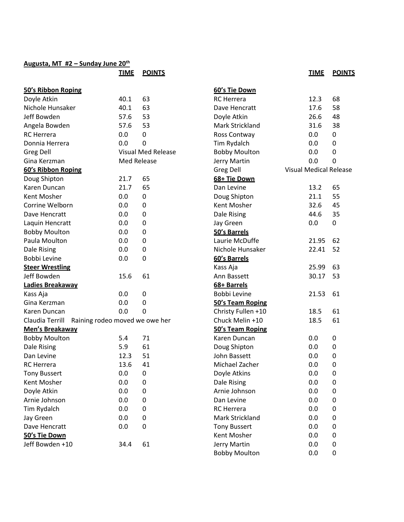## **Augusta, MT #2 – Sunday June 20th**

|                                                   | <b>TIME</b>        | <b>POINTS</b>             |            |
|---------------------------------------------------|--------------------|---------------------------|------------|
| 50's Ribbon Roping                                |                    |                           | <u>60</u>  |
| Doyle Atkin                                       | 40.1               | 63                        | <b>RC</b>  |
| Nichole Hunsaker                                  | 40.1               | 63                        | Da         |
| Jeff Bowden                                       | 57.6               | 53                        | Do         |
| Angela Bowden                                     | 57.6               | 53                        | Ma         |
| <b>RC</b> Herrera                                 | 0.0                | 0                         | Ro         |
| Donnia Herrera                                    | 0.0                | 0                         | Tin        |
| <b>Greg Dell</b>                                  |                    | <b>Visual Med Release</b> | Bo         |
| Gina Kerzman                                      | <b>Med Release</b> |                           | Jer        |
| 60's Ribbon Roping                                |                    |                           | Gr         |
| Doug Shipton                                      | 21.7               | 65                        | 68         |
| Karen Duncan                                      | 21.7               | 65                        | Da         |
| Kent Mosher                                       | 0.0                | 0                         | Do         |
| Corrine Welborn                                   | 0.0                | 0                         | Кe         |
| Dave Hencratt                                     | 0.0                | 0                         | Da         |
| Laquin Hencratt                                   | 0.0                | 0                         | Jay        |
| <b>Bobby Moulton</b>                              | 0.0                | 0                         | 50         |
| Paula Moulton                                     | 0.0                | 0                         | La         |
| Dale Rising                                       | 0.0                | 0                         | <b>Nio</b> |
| Bobbi Levine                                      | 0.0                | 0                         | 60         |
| <b>Steer Wrestling</b>                            |                    |                           | Ka:        |
| Jeff Bowden                                       | 15.6               | 61                        | An         |
| Ladies Breakaway                                  |                    |                           | <u>68</u>  |
| Kass Aja                                          | 0.0                | 0                         | Bo         |
| Gina Kerzman                                      | 0.0                | 0                         | 50         |
| Karen Duncan                                      | 0.0                | 0                         | Ch         |
| Claudia Terrill<br>Raining rodeo moved we owe her |                    |                           | Ch         |
| <b>Men's Breakaway</b>                            |                    |                           | 50         |
| <b>Bobby Moulton</b>                              | 5.4                | 71                        | Ka         |
| Dale Rising                                       | 5.9                | 61                        | Do         |
| Dan Levine                                        | 12.3               | 51                        | Joł        |
| RC Herrera                                        | 13.6 41            |                           | Mi         |
| <b>Tony Bussert</b>                               | 0.0                | 0                         | Do         |
| Kent Mosher                                       | 0.0                | 0                         | Da         |
| Doyle Atkin                                       | 0.0                | 0                         | Arı        |
| Arnie Johnson                                     | 0.0                | 0                         | Da         |
| Tim Rydalch                                       | 0.0                | 0                         | <b>RC</b>  |
| Jay Green                                         | 0.0                | 0                         | Ma         |
| Dave Hencratt                                     | 0.0                | 0                         | To         |
| 50's Tie Down                                     |                    |                           | Кe         |
| Jeff Bowden +10                                   | 34.4               | 61                        | Jer        |

| 60's Tie Down          |                               |    |
|------------------------|-------------------------------|----|
| <b>RC</b> Herrera      | 12.3                          | 68 |
| Dave Hencratt          | 17.6                          | 58 |
| Doyle Atkin            | 26.6                          | 48 |
| Mark Strickland        | 31.6                          | 38 |
| Ross Contway           | $0.0\,$                       | 0  |
| Tim Rydalch            | $0.0\,$                       | 0  |
| <b>Bobby Moulton</b>   | $0.0\,$                       | 0  |
| Jerry Martin           | $0.0\,$                       | 0  |
| <b>Greg Dell</b>       | <b>Visual Medical Release</b> |    |
| 68+ Tie Down           |                               |    |
| Dan Levine             | 13.2                          | 65 |
| Doug Shipton           | 21.1                          | 55 |
| Kent Mosher            | 32.6                          | 45 |
| Dale Rising            | 44.6                          | 35 |
| Jay Green              | 0.0                           | 0  |
| 50's Barrels           |                               |    |
| Laurie McDuffe         | 21.95                         | 62 |
| Nichole Hunsaker       | 22.41                         | 52 |
| 60's Barrels           |                               |    |
| Kass Aja               | 25.99                         | 63 |
| Ann Bassett            | 30.17                         | 53 |
| <u>68+ Barrels</u>     |                               |    |
| Bobbi Levine           | 21.53                         | 61 |
| 50's Team Roping       |                               |    |
| Christy Fullen +10     | 18.5                          | 61 |
| Chuck Melin +10        | 18.5                          | 61 |
| 50's Team Roping       |                               |    |
| Karen Duncan           | 0.0                           | 0  |
| Doug Shipton           | 0.0                           | 0  |
| John Bassett           | 0.0                           | 0  |
| Michael Zacher         | 0.0                           | 0  |
| Doyle Atkins           | 0.0                           | 0  |
| Dale Rising            | 0.0                           | 0  |
| Arnie Johnson          | 0.0                           | 0  |
| Dan Levine             | 0.0                           | 0  |
| <b>RC</b> Herrera      | 0.0                           | 0  |
| <b>Mark Strickland</b> | 0.0                           | 0  |
| <b>Tony Bussert</b>    | 0.0                           | 0  |
| Kent Mosher            | 0.0                           | 0  |
| Jerry Martin           | 0.0                           | 0  |
| <b>Bobby Moulton</b>   | 0.0                           | 0  |
|                        |                               |    |

**TIME POINTS**